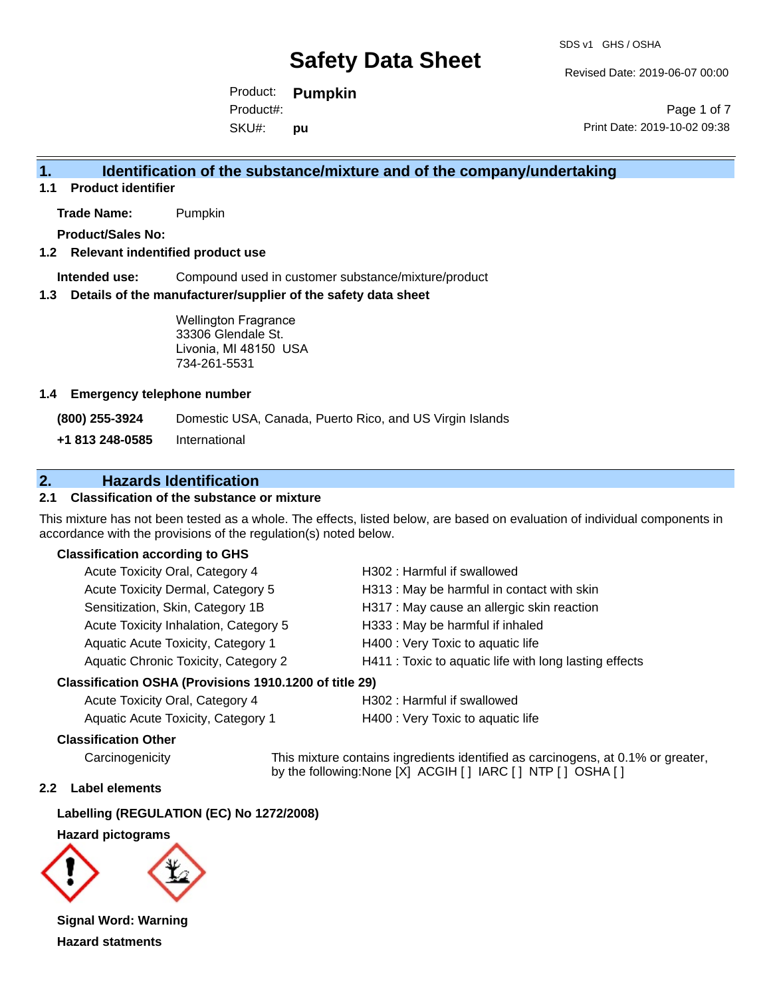SDS v1 GHS / OSHA

Revised Date: 2019-06-07 00:00

Product: **Pumpkin**  SKU#: Product#: **pu**

Page 1 of 7 Print Date: 2019-10-02 09:38

# **1. Identification of the substance/mixture and of the company/undertaking**

**1.1 Product identifier**

**Trade Name:** Pumpkin

**Product/Sales No:**

### **1.2 Relevant indentified product use**

**Intended use:** Compound used in customer substance/mixture/product

#### **1.3 Details of the manufacturer/supplier of the safety data sheet**

Wellington Fragrance 33306 Glendale St. Livonia, MI 48150 USA 734-261-5531

#### **1.4 Emergency telephone number**

**(800) 255-3924** Domestic USA, Canada, Puerto Rico, and US Virgin Islands

**+1 813 248-0585** International

# **2. Hazards Identification**

## **2.1 Classification of the substance or mixture**

This mixture has not been tested as a whole. The effects, listed below, are based on evaluation of individual components in accordance with the provisions of the regulation(s) noted below.

### **Classification according to GHS**

| Acute Toxicity Oral, Category 4       | H302: Harmful if swallowed                             |
|---------------------------------------|--------------------------------------------------------|
| Acute Toxicity Dermal, Category 5     | H313: May be harmful in contact with skin              |
| Sensitization, Skin, Category 1B      | H317 : May cause an allergic skin reaction             |
| Acute Toxicity Inhalation, Category 5 | H333: May be harmful if inhaled                        |
| Aquatic Acute Toxicity, Category 1    | H400 : Very Toxic to aquatic life                      |
| Aquatic Chronic Toxicity, Category 2  | H411 : Toxic to aquatic life with long lasting effects |
|                                       |                                                        |

### **Classification OSHA (Provisions 1910.1200 of title 29)**

| Acute Toxicity Oral, Category 4    |  |
|------------------------------------|--|
| Aquatic Acute Toxicity. Category 1 |  |

H302 : Harmful if swallowed

H400 : Very Toxic to aquatic life

### **Classification Other**

Carcinogenicity This mixture contains ingredients identified as carcinogens, at 0.1% or greater, by the following:None [X] ACGIH [ ] IARC [ ] NTP [ ] OSHA [ ]

### **2.2 Label elements**

### **Labelling (REGULATION (EC) No 1272/2008)**

#### **Hazard pictograms**



**Signal Word: Warning Hazard statments**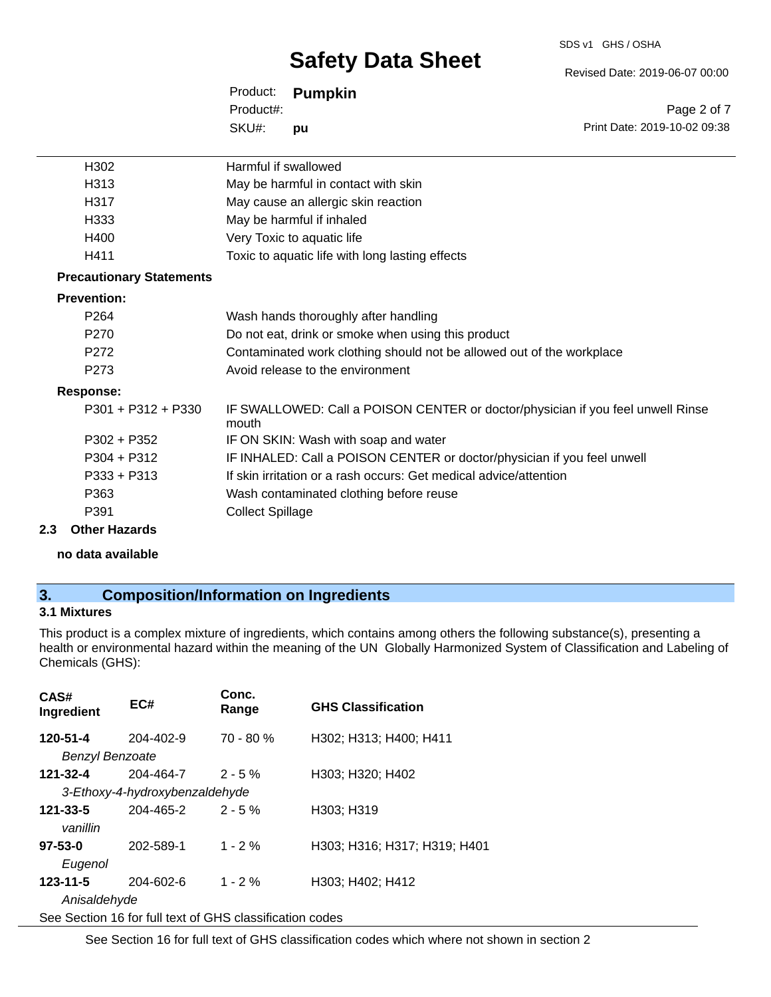#### SDS v1 GHS / OSHA

# **Safety Data Sheet**

Revised Date: 2019-06-07 00:00

| Product:  | <b>Pumpkin</b> |
|-----------|----------------|
| Product#: |                |
| SKU#:     | pu             |

Page 2 of 7 Print Date: 2019-10-02 09:38

| Harmful if swallowed                                                                     |
|------------------------------------------------------------------------------------------|
| May be harmful in contact with skin                                                      |
| May cause an allergic skin reaction                                                      |
| May be harmful if inhaled                                                                |
| Very Toxic to aquatic life                                                               |
| Toxic to aquatic life with long lasting effects                                          |
|                                                                                          |
|                                                                                          |
| Wash hands thoroughly after handling                                                     |
| Do not eat, drink or smoke when using this product                                       |
| Contaminated work clothing should not be allowed out of the workplace                    |
| Avoid release to the environment                                                         |
|                                                                                          |
| IF SWALLOWED: Call a POISON CENTER or doctor/physician if you feel unwell Rinse<br>mouth |
| IF ON SKIN: Wash with soap and water                                                     |
| IF INHALED: Call a POISON CENTER or doctor/physician if you feel unwell                  |
| If skin irritation or a rash occurs: Get medical advice/attention                        |
| Wash contaminated clothing before reuse                                                  |
| <b>Collect Spillage</b>                                                                  |
|                                                                                          |

### **2.3 Other Hazards**

**no data available**

# **3. Composition/Information on Ingredients**

# **3.1 Mixtures**

This product is a complex mixture of ingredients, which contains among others the following substance(s), presenting a health or environmental hazard within the meaning of the UN Globally Harmonized System of Classification and Labeling of Chemicals (GHS):

| CAS#<br>Ingredient          | EC#                                                      | Conc.<br>Range | <b>GHS Classification</b>    |
|-----------------------------|----------------------------------------------------------|----------------|------------------------------|
| 120-51-4<br>Benzyl Benzoate | $204 - 402 - 9$                                          | $70 - 80 \%$   | H302; H313; H400; H411       |
| $121 - 32 - 4$              | 204-464-7                                                | $2 - 5%$       | H303; H320; H402             |
|                             | 3-Ethoxy-4-hydroxybenzaldehyde                           |                |                              |
| $121 - 33 - 5$<br>vanillin  | 204-465-2                                                | $2 - 5%$       | H303; H319                   |
| $97 - 53 - 0$<br>Eugenol    | 202-589-1                                                | $1 - 2%$       | H303; H316; H317; H319; H401 |
| $123 - 11 - 5$              | 204-602-6                                                | $1 - 2%$       | H303; H402; H412             |
| Anisaldehyde                |                                                          |                |                              |
|                             | See Section 16 for full text of GHS classification codes |                |                              |

See Section 16 for full text of GHS classification codes which where not shown in section 2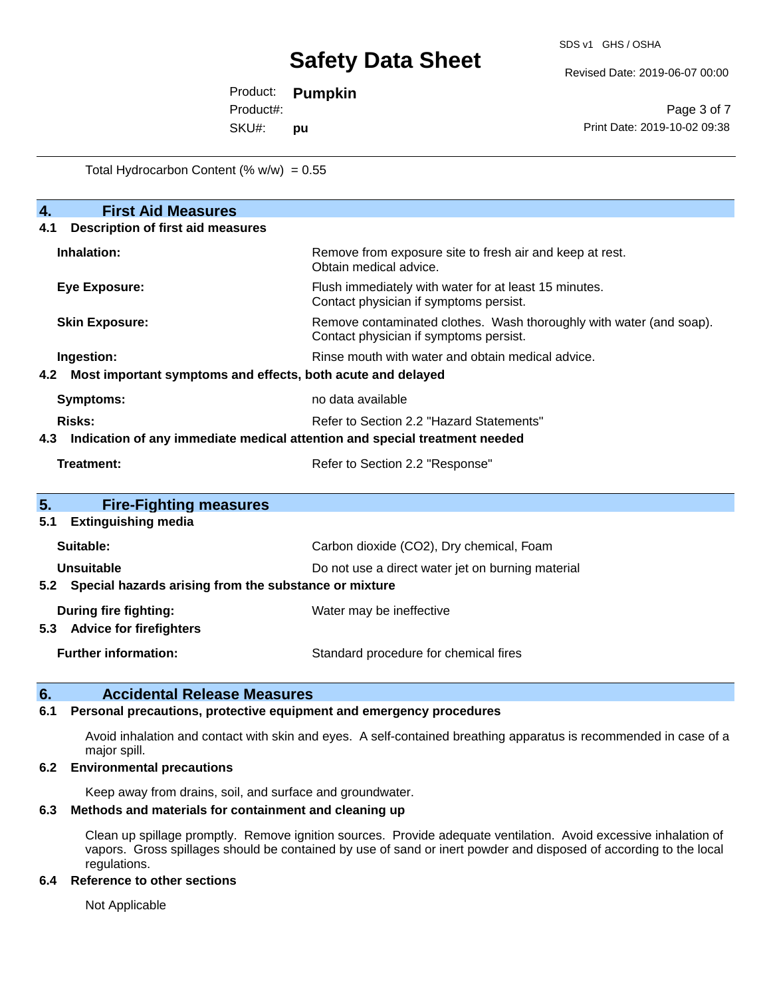Revised Date: 2019-06-07 00:00

Product: **Pumpkin**  Product#:

SKU#: **pu**

Page 3 of 7 Print Date: 2019-10-02 09:38

Total Hydrocarbon Content  $(\% w/w) = 0.55$ 

| $\overline{4}$ .<br><b>First Aid Measures</b>                      |                                                                                                               |  |  |  |  |  |
|--------------------------------------------------------------------|---------------------------------------------------------------------------------------------------------------|--|--|--|--|--|
| <b>Description of first aid measures</b><br>4.1                    |                                                                                                               |  |  |  |  |  |
| Inhalation:                                                        | Remove from exposure site to fresh air and keep at rest.<br>Obtain medical advice.                            |  |  |  |  |  |
| <b>Eye Exposure:</b>                                               | Flush immediately with water for at least 15 minutes.<br>Contact physician if symptoms persist.               |  |  |  |  |  |
| <b>Skin Exposure:</b>                                              | Remove contaminated clothes. Wash thoroughly with water (and soap).<br>Contact physician if symptoms persist. |  |  |  |  |  |
| Ingestion:                                                         | Rinse mouth with water and obtain medical advice.                                                             |  |  |  |  |  |
| Most important symptoms and effects, both acute and delayed<br>4.2 |                                                                                                               |  |  |  |  |  |
| no data available<br><b>Symptoms:</b>                              |                                                                                                               |  |  |  |  |  |
| Risks:<br>Refer to Section 2.2 "Hazard Statements"                 |                                                                                                               |  |  |  |  |  |
| 4.3                                                                | Indication of any immediate medical attention and special treatment needed                                    |  |  |  |  |  |
| <b>Treatment:</b>                                                  | Refer to Section 2.2 "Response"                                                                               |  |  |  |  |  |
| 5.<br><b>Fire-Fighting measures</b>                                |                                                                                                               |  |  |  |  |  |
| <b>Extinguishing media</b><br>5.1                                  |                                                                                                               |  |  |  |  |  |
| Suitable:                                                          | Carbon dioxide (CO2), Dry chemical, Foam                                                                      |  |  |  |  |  |
| <b>Unsuitable</b>                                                  | Do not use a direct water jet on burning material                                                             |  |  |  |  |  |
| Special hazards arising from the substance or mixture<br>5.2       |                                                                                                               |  |  |  |  |  |
| <b>During fire fighting:</b>                                       | Water may be ineffective                                                                                      |  |  |  |  |  |
| <b>Advice for firefighters</b><br>5.3                              |                                                                                                               |  |  |  |  |  |
| <b>Further information:</b>                                        | Standard procedure for chemical fires                                                                         |  |  |  |  |  |

# **6. Accidental Release Measures**

## **6.1 Personal precautions, protective equipment and emergency procedures**

Avoid inhalation and contact with skin and eyes. A self-contained breathing apparatus is recommended in case of a major spill.

### **6.2 Environmental precautions**

Keep away from drains, soil, and surface and groundwater.

# **6.3 Methods and materials for containment and cleaning up**

Clean up spillage promptly. Remove ignition sources. Provide adequate ventilation. Avoid excessive inhalation of vapors. Gross spillages should be contained by use of sand or inert powder and disposed of according to the local regulations.

### **6.4 Reference to other sections**

Not Applicable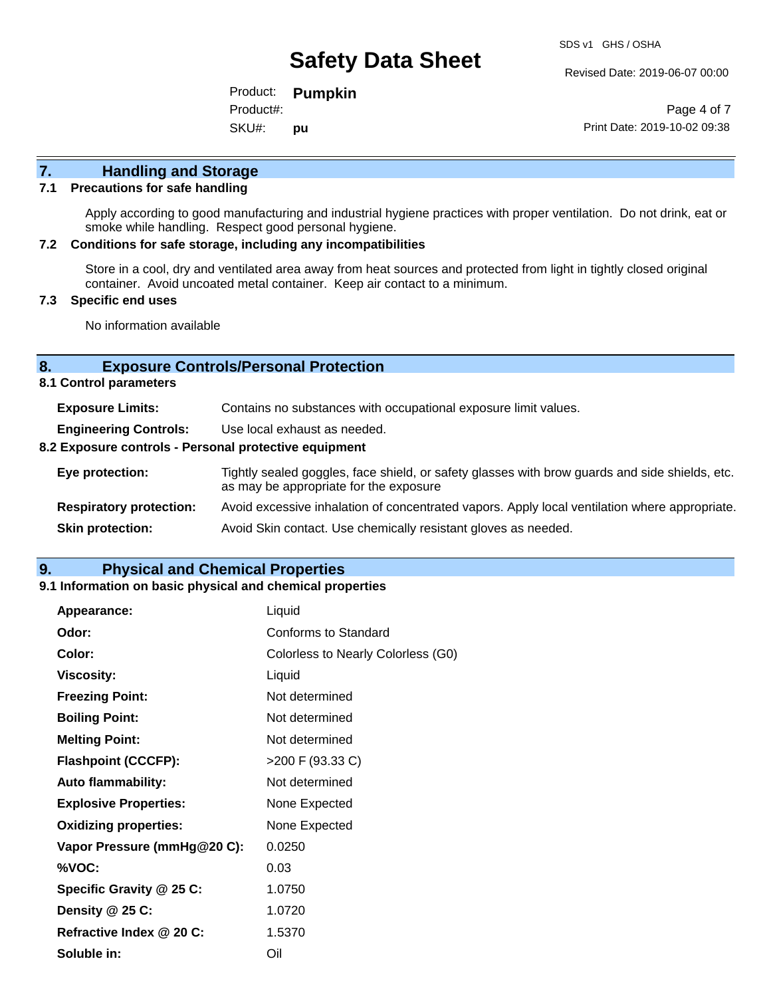Revised Date: 2019-06-07 00:00

Product: **Pumpkin**  SKU#: Product#: **pu**

Page 4 of 7 Print Date: 2019-10-02 09:38

# **7. Handling and Storage**

## **7.1 Precautions for safe handling**

Apply according to good manufacturing and industrial hygiene practices with proper ventilation. Do not drink, eat or smoke while handling. Respect good personal hygiene.

### **7.2 Conditions for safe storage, including any incompatibilities**

Store in a cool, dry and ventilated area away from heat sources and protected from light in tightly closed original container. Avoid uncoated metal container. Keep air contact to a minimum.

## **7.3 Specific end uses**

No information available

## **8. Exposure Controls/Personal Protection**

**8.1 Control parameters**

| <b>Exposure Limits:</b>                               | Contains no substances with occupational exposure limit values.                                                                          |  |  |  |
|-------------------------------------------------------|------------------------------------------------------------------------------------------------------------------------------------------|--|--|--|
| <b>Engineering Controls:</b>                          | Use local exhaust as needed.                                                                                                             |  |  |  |
| 8.2 Exposure controls - Personal protective equipment |                                                                                                                                          |  |  |  |
| Eye protection:                                       | Tightly sealed goggles, face shield, or safety glasses with brow guards and side shields, etc.<br>as may be appropriate for the exposure |  |  |  |
| <b>Respiratory protection:</b>                        | Avoid excessive inhalation of concentrated vapors. Apply local ventilation where appropriate.                                            |  |  |  |
| <b>Skin protection:</b>                               | Avoid Skin contact. Use chemically resistant gloves as needed.                                                                           |  |  |  |

# **9. Physical and Chemical Properties**

### **9.1 Information on basic physical and chemical properties**

| Appearance:                  | Liquid                             |
|------------------------------|------------------------------------|
| Odor:                        | Conforms to Standard               |
| Color:                       | Colorless to Nearly Colorless (G0) |
| <b>Viscosity:</b>            | Liquid                             |
| <b>Freezing Point:</b>       | Not determined                     |
| <b>Boiling Point:</b>        | Not determined                     |
| <b>Melting Point:</b>        | Not determined                     |
| <b>Flashpoint (CCCFP):</b>   | >200 F (93.33 C)                   |
| <b>Auto flammability:</b>    | Not determined                     |
| <b>Explosive Properties:</b> | None Expected                      |
| <b>Oxidizing properties:</b> | None Expected                      |
| Vapor Pressure (mmHg@20 C):  | 0.0250                             |
| %VOC:                        | 0.03                               |
| Specific Gravity @ 25 C:     | 1.0750                             |
| Density @ 25 C:              | 1.0720                             |
| Refractive Index @ 20 C:     | 1.5370                             |
| Soluble in:                  | Oil                                |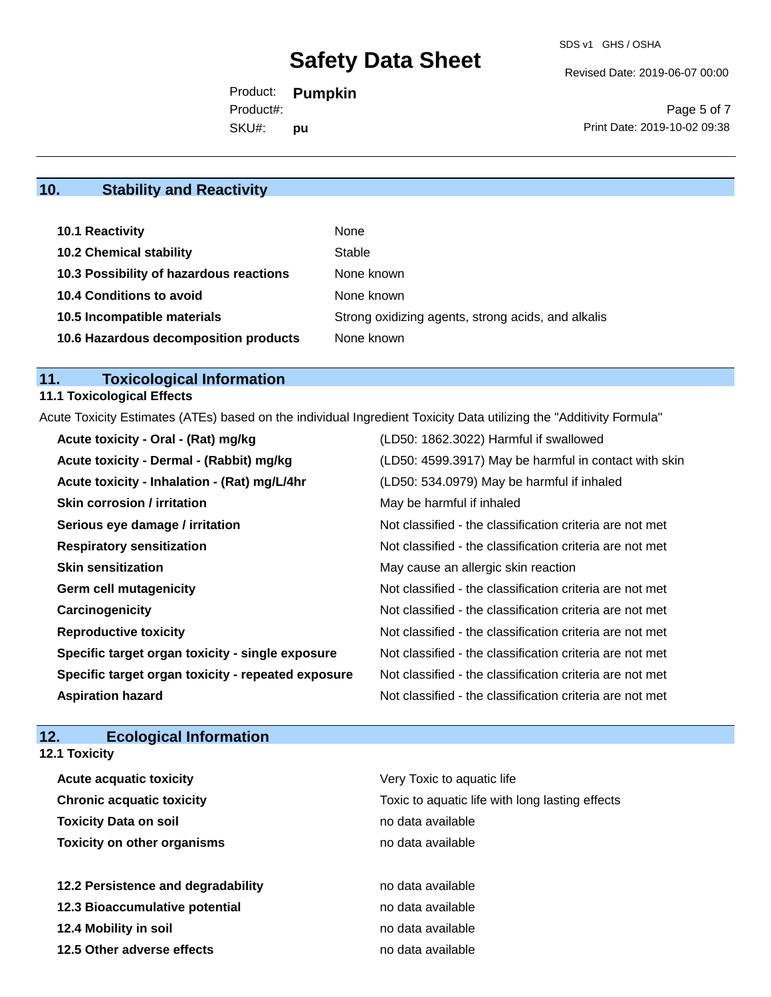Revised Date: 2019-06-07 00:00

Product: **Pumpkin**  SKU#: Product#: **pu**

Page 5 of 7 Print Date: 2019-10-02 09:38

# **10. Stability and Reactivity**

| 10.1 Reactivity                         | None                                               |
|-----------------------------------------|----------------------------------------------------|
| <b>10.2 Chemical stability</b>          | Stable                                             |
| 10.3 Possibility of hazardous reactions | None known                                         |
| <b>10.4 Conditions to avoid</b>         | None known                                         |
| 10.5 Incompatible materials             | Strong oxidizing agents, strong acids, and alkalis |
| 10.6 Hazardous decomposition products   | None known                                         |

# **11. Toxicological Information**

# **11.1 Toxicological Effects**

Acute Toxicity Estimates (ATEs) based on the individual Ingredient Toxicity Data utilizing the "Additivity Formula"

| Acute toxicity - Oral - (Rat) mg/kg                | (LD50: 1862.3022) Harmful if swallowed                   |
|----------------------------------------------------|----------------------------------------------------------|
| Acute toxicity - Dermal - (Rabbit) mg/kg           | (LD50: 4599.3917) May be harmful in contact with skin    |
| Acute toxicity - Inhalation - (Rat) mg/L/4hr       | (LD50: 534.0979) May be harmful if inhaled               |
| <b>Skin corrosion / irritation</b>                 | May be harmful if inhaled                                |
| Serious eye damage / irritation                    | Not classified - the classification criteria are not met |
| <b>Respiratory sensitization</b>                   | Not classified - the classification criteria are not met |
| <b>Skin sensitization</b>                          | May cause an allergic skin reaction                      |
| <b>Germ cell mutagenicity</b>                      | Not classified - the classification criteria are not met |
| Carcinogenicity                                    | Not classified - the classification criteria are not met |
| <b>Reproductive toxicity</b>                       | Not classified - the classification criteria are not met |
| Specific target organ toxicity - single exposure   | Not classified - the classification criteria are not met |
| Specific target organ toxicity - repeated exposure | Not classified - the classification criteria are not met |
| <b>Aspiration hazard</b>                           | Not classified - the classification criteria are not met |

# **12. Ecological Information**

| <b>12.1 Toxicity</b>               |                                                 |  |  |  |
|------------------------------------|-------------------------------------------------|--|--|--|
| <b>Acute acquatic toxicity</b>     | Very Toxic to aquatic life                      |  |  |  |
| <b>Chronic acquatic toxicity</b>   | Toxic to aquatic life with long lasting effects |  |  |  |
| <b>Toxicity Data on soil</b>       | no data available                               |  |  |  |
| <b>Toxicity on other organisms</b> | no data available                               |  |  |  |
| 12.2 Persistence and degradability | no data available                               |  |  |  |
| 12.3 Bioaccumulative potential     | no data available                               |  |  |  |
| 12.4 Mobility in soil              | no data available                               |  |  |  |
| 12.5 Other adverse effects         | no data available                               |  |  |  |
|                                    |                                                 |  |  |  |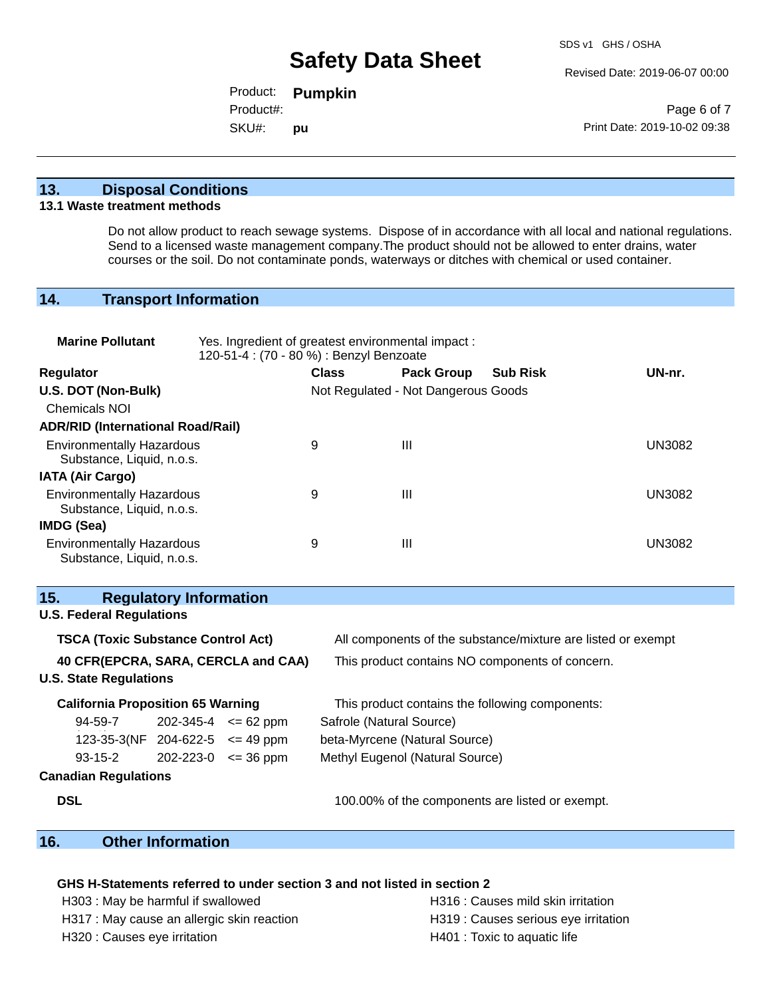Revised Date: 2019-06-07 00:00

Product: **Pumpkin**  SKU#: Product#: **pu**

Page 6 of 7 Print Date: 2019-10-02 09:38

# **13. Disposal Conditions**

#### **13.1 Waste treatment methods**

Do not allow product to reach sewage systems. Dispose of in accordance with all local and national regulations. Send to a licensed waste management company.The product should not be allowed to enter drains, water courses or the soil. Do not contaminate ponds, waterways or ditches with chemical or used container.

# **14. Transport Information**

| <b>Marine Pollutant</b>                                                                     |                                                                                                           | Yes. Ingredient of greatest environmental impact:<br>120-51-4 : (70 - 80 %) : Benzyl Benzoate |                                     |                   |                                                 |               |
|---------------------------------------------------------------------------------------------|-----------------------------------------------------------------------------------------------------------|-----------------------------------------------------------------------------------------------|-------------------------------------|-------------------|-------------------------------------------------|---------------|
| <b>Regulator</b>                                                                            |                                                                                                           |                                                                                               | <b>Class</b>                        | <b>Pack Group</b> | <b>Sub Risk</b>                                 | UN-nr.        |
| U.S. DOT (Non-Bulk)<br>Chemicals NOI                                                        |                                                                                                           |                                                                                               | Not Regulated - Not Dangerous Goods |                   |                                                 |               |
| <b>ADR/RID (International Road/Rail)</b>                                                    |                                                                                                           |                                                                                               |                                     |                   |                                                 |               |
| <b>Environmentally Hazardous</b><br>Substance, Liquid, n.o.s.                               |                                                                                                           |                                                                                               | 9                                   | III               |                                                 | <b>UN3082</b> |
| <b>IATA (Air Cargo)</b>                                                                     |                                                                                                           |                                                                                               |                                     |                   |                                                 |               |
| <b>Environmentally Hazardous</b><br>Substance, Liquid, n.o.s.                               |                                                                                                           |                                                                                               | 9                                   | $\mathbf{III}$    |                                                 | <b>UN3082</b> |
| <b>IMDG (Sea)</b>                                                                           |                                                                                                           |                                                                                               |                                     |                   |                                                 |               |
| <b>Environmentally Hazardous</b><br>Substance, Liquid, n.o.s.                               |                                                                                                           |                                                                                               | 9                                   | $\mathbf{III}$    |                                                 | <b>UN3082</b> |
| 15.                                                                                         | <b>Regulatory Information</b>                                                                             |                                                                                               |                                     |                   |                                                 |               |
| <b>U.S. Federal Regulations</b>                                                             |                                                                                                           |                                                                                               |                                     |                   |                                                 |               |
|                                                                                             | <b>TSCA (Toxic Substance Control Act)</b><br>All components of the substance/mixture are listed or exempt |                                                                                               |                                     |                   |                                                 |               |
| 40 CFR(EPCRA, SARA, CERCLA and CAA)                                                         |                                                                                                           |                                                                                               |                                     |                   | This product contains NO components of concern. |               |
| <b>U.S. State Regulations</b>                                                               |                                                                                                           |                                                                                               |                                     |                   |                                                 |               |
| <b>California Proposition 65 Warning</b><br>This product contains the following components: |                                                                                                           |                                                                                               |                                     |                   |                                                 |               |
| 94-59-7                                                                                     |                                                                                                           | $202 - 345 - 4 \le 62$ ppm                                                                    | Safrole (Natural Source)            |                   |                                                 |               |
| 123-35-3(NF 204-622-5 $\leq$ 49 ppm                                                         |                                                                                                           |                                                                                               | beta-Myrcene (Natural Source)       |                   |                                                 |               |
| $93 - 15 - 2$                                                                               |                                                                                                           | $202 - 223 - 0 \leq 36$ ppm                                                                   | Methyl Eugenol (Natural Source)     |                   |                                                 |               |
| <b>Canadian Regulations</b>                                                                 |                                                                                                           |                                                                                               |                                     |                   |                                                 |               |
| <b>DSL</b>                                                                                  |                                                                                                           |                                                                                               |                                     |                   | 100.00% of the components are listed or exempt. |               |

# **16. Other Information**

### **GHS H-Statements referred to under section 3 and not listed in section 2**

- H303 : May be harmful if swallowed **H316** : Causes mild skin irritation
- H317 : May cause an allergic skin reaction **H319** : Causes serious eye irritation

H320 : Causes eye irritation **H**401 : Toxic to aquatic life